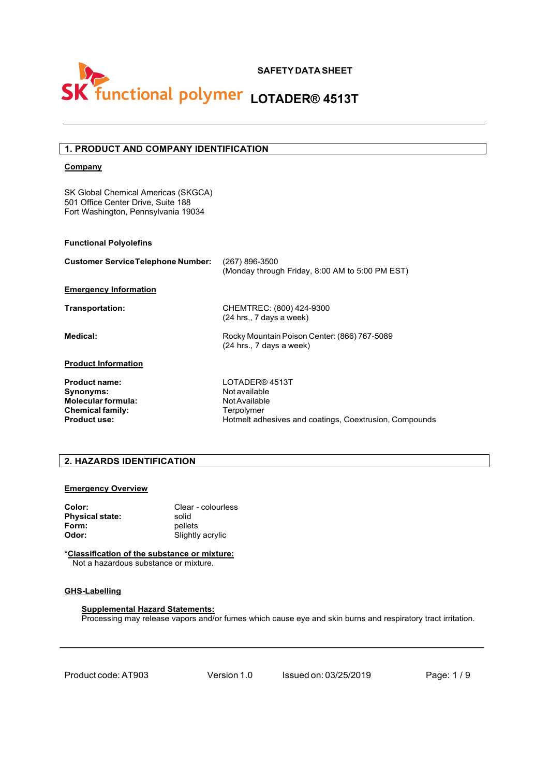

## **1. PRODUCT AND COMPANY IDENTIFICATION**

### **Company**

SK Global Chemical Americas (SKGCA) 501 Office Center Drive, Suite 188 Fort Washington, Pennsylvania 19034

### **Functional Polyolefins**

| <b>Customer Service Telephone Number:</b> | $(267)$ 896-3500<br>(Monday through Friday, 8:00 AM to 5:00 PM EST)        |  |
|-------------------------------------------|----------------------------------------------------------------------------|--|
| <b>Emergency Information</b>              |                                                                            |  |
| Transportation:                           | CHEMTREC: (800) 424-9300<br>(24 hrs., 7 days a week)                       |  |
| Medical:                                  | Rocky Mountain Poison Center: (866) 767-5089<br>$(24$ hrs., 7 days a week) |  |
| <b>Product Information</b>                |                                                                            |  |
| <b>Product name:</b>                      | LOTADER® 4513T                                                             |  |
| Synonyms:                                 | Not available                                                              |  |
| <b>Molecular formula:</b>                 | Not Available                                                              |  |
| <b>Chemical family:</b>                   | Terpolymer                                                                 |  |
| <b>Product use:</b>                       | Hotmelt adhesives and coatings, Coextrusion, Compounds                     |  |

## **2. HAZARDS IDENTIFICATION**

### **Emergency Overview**

| Clear - colourless |
|--------------------|
| solid              |
| pellets            |
| Slightly acrylic   |
|                    |

**\*Classification of the substance or mixture:** Not a hazardous substance or mixture.

## **GHS-Labelling**

**Supplemental Hazard Statements:** Processing may release vapors and/or fumes which cause eye and skin burns and respiratory tract irritation.

Product code:AT903 Version 1.0 Issued on: 03/25/2019 Page: 1 / 9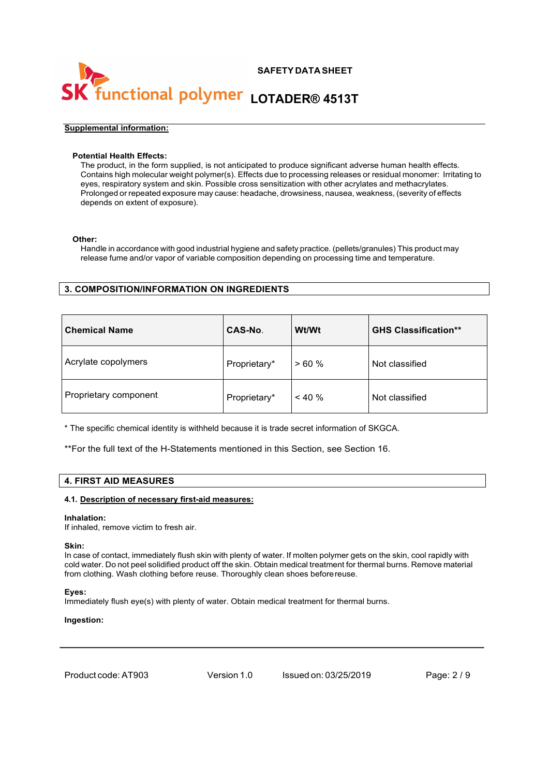## **SAFETY DATA SHEET** functional polymer LOTADER® 4513T

### **Supplemental information:**

### **Potential Health Effects:**

The product, in the form supplied, is not anticipated to produce significant adverse human health effects. Contains high molecular weight polymer(s). Effects due to processing releases or residual monomer: Irritating to eyes, respiratory system and skin. Possible cross sensitization with other acrylates and methacrylates. Prolonged or repeated exposure may cause: headache, drowsiness, nausea, weakness, (severity of effects depends on extent of exposure).

### **Other:**

Handle in accordance with good industrial hygiene and safety practice. (pellets/granules) This product may release fume and/or vapor of variable composition depending on processing time and temperature.

## **3. COMPOSITION/INFORMATION ON INGREDIENTS**

| <b>Chemical Name</b>  | <b>CAS-No.</b> | Wt/Wt     | <b>GHS Classification**</b> |
|-----------------------|----------------|-----------|-----------------------------|
| Acrylate copolymers   | Proprietary*   | >60%      | Not classified              |
| Proprietary component | Proprietary*   | $< 40 \%$ | Not classified              |

\* The specific chemical identity is withheld because it is trade secret information of SKGCA.

\*\*For the full text of the H-Statements mentioned in this Section, see Section 16.

### **4. FIRST AID MEASURES**

### **4.1. Description of necessary first-aid measures:**

### **Inhalation:**

If inhaled, remove victim to fresh air.

### **Skin:**

In case of contact, immediately flush skin with plenty of water. If molten polymer gets on the skin, cool rapidly with cold water. Do not peel solidified product off the skin. Obtain medical treatment for thermal burns. Remove material from clothing. Wash clothing before reuse. Thoroughly clean shoes beforereuse.

### **Eyes:**

Immediately flush eye(s) with plenty of water. Obtain medical treatment for thermal burns.

### **Ingestion:**

Product code:AT903 Version 1.0 Issued on: 03/25/2019 Page: 2 / 9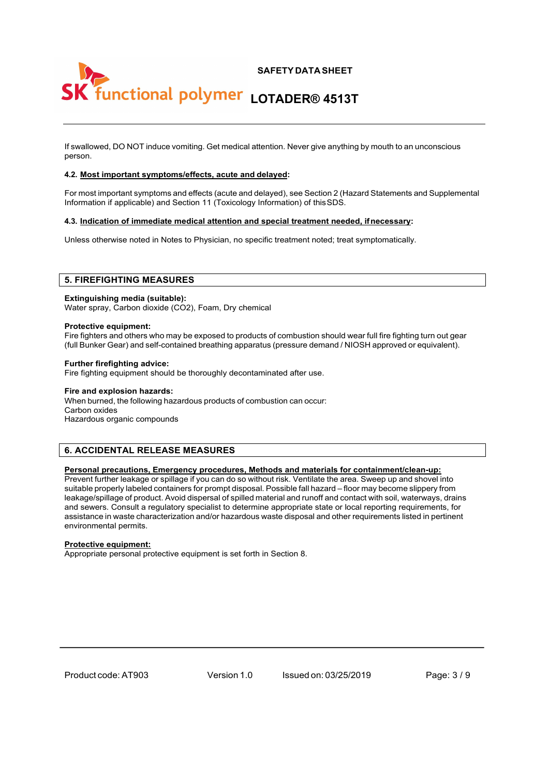

If swallowed, DO NOT induce vomiting. Get medical attention. Never give anything by mouth to an unconscious person.

### **4.2. Most important symptoms/effects, acute and delayed:**

For most important symptoms and effects (acute and delayed), see Section 2 (Hazard Statements and Supplemental Information if applicable) and Section 11 (Toxicology Information) of thisSDS.

### **4.3. Indication of immediate medical attention and special treatment needed, ifnecessary:**

Unless otherwise noted in Notes to Physician, no specific treatment noted; treat symptomatically.

### **5. FIREFIGHTING MEASURES**

### **Extinguishing media (suitable):**

Water spray, Carbon dioxide (CO2), Foam, Dry chemical

### **Protective equipment:**

Fire fighters and others who may be exposed to products of combustion should wear full fire fighting turn out gear (full Bunker Gear) and self-contained breathing apparatus (pressure demand / NIOSH approved or equivalent).

### **Further firefighting advice:**

Fire fighting equipment should be thoroughly decontaminated after use.

### **Fire and explosion hazards:**

When burned, the following hazardous products of combustion can occur: Carbon oxides Hazardous organic compounds

## **6. ACCIDENTAL RELEASE MEASURES**

### **Personal precautions, Emergency procedures, Methods and materials for containment/clean-up:**

Prevent further leakage or spillage if you can do so without risk. Ventilate the area. Sweep up and shovel into suitable properly labeled containers for prompt disposal. Possible fall hazard – floor may become slippery from leakage/spillage of product. Avoid dispersal of spilled material and runoff and contact with soil, waterways, drains and sewers. Consult a regulatory specialist to determine appropriate state or local reporting requirements, for assistance in waste characterization and/or hazardous waste disposal and other requirements listed in pertinent environmental permits.

### **Protective equipment:**

Appropriate personal protective equipment is set forth in Section 8.

Product code:AT903 Version 1.0 Issued on: 03/25/2019 Page: 3 / 9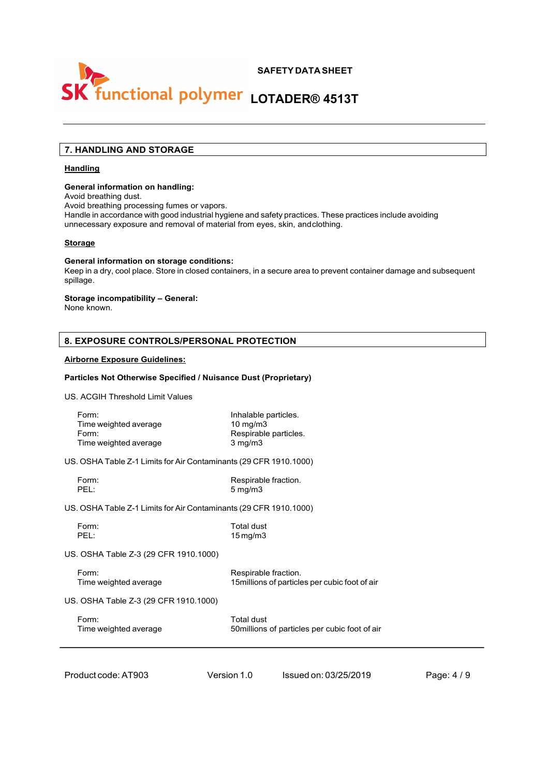

## **7. HANDLING AND STORAGE**

### **Handling**

### **General information on handling:**

Avoid breathing dust.

Avoid breathing processing fumes or vapors.

Handle in accordance with good industrial hygiene and safety practices. These practices include avoiding unnecessary exposure and removal of material from eyes, skin, andclothing.

### **Storage**

#### **General information on storage conditions:**

Keep in a dry, cool place. Store in closed containers, in a secure area to prevent container damage and subsequent spillage.

### **Storage incompatibility – General:**

None known.

## **8. EXPOSURE CONTROLS/PERSONAL PROTECTION**

### **Airborne Exposure Guidelines:**

### **Particles Not Otherwise Specified / Nuisance Dust (Proprietary)**

US. ACGIH Threshold Limit Values

| Form:                 | Inhalable particles.  |
|-----------------------|-----------------------|
| Time weighted average | $10 \text{ mg/m}$     |
| Form:                 | Respirable particles. |
| Time weighted average | $3 \text{ mg/m}$      |
|                       |                       |

US. OSHA Table Z-1 Limits for Air Contaminants (29 CFR 1910.1000)

| Form:                                                             | Respirable fraction.                           |
|-------------------------------------------------------------------|------------------------------------------------|
| PFI:                                                              | $5 \,\mathrm{mq/m}$                            |
| US. OSHA Table Z-1 Limits for Air Contaminants (29 CFR 1910.1000) |                                                |
| Form:                                                             | Total dust                                     |
| PFI:                                                              | $15 \,\mathrm{mq/m}$                           |
| US. OSHA Table Z-3 (29 CFR 1910.1000)                             |                                                |
| Form:                                                             | Respirable fraction.                           |
| Time weighted average                                             | 15 millions of particles per cubic foot of air |

US. OSHA Table Z-3 (29 CFR 1910.1000)

| Form:                 | Total dust                                     |
|-----------------------|------------------------------------------------|
| Time weighted average | 50 millions of particles per cubic foot of air |

Product code:AT903 Version 1.0 Issued on: 03/25/2019 Page: 4 / 9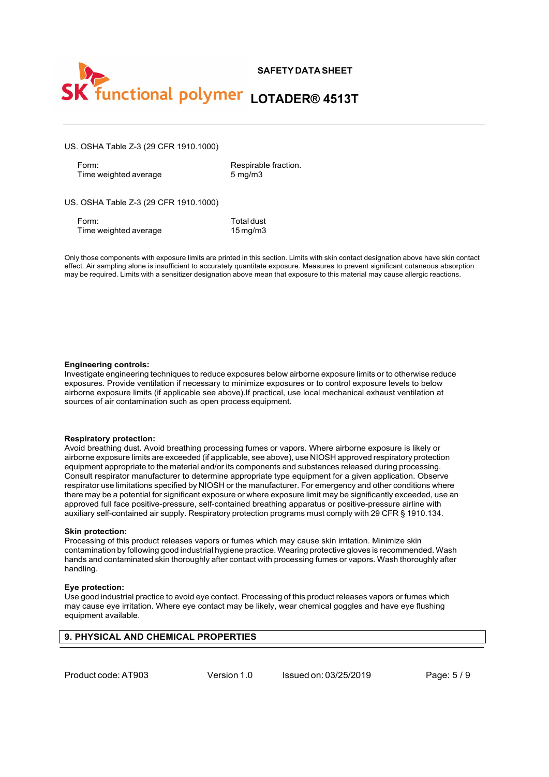

US. OSHA Table Z-3 (29 CFR 1910.1000)

Form: Respirable fraction.<br>Time weighted average the state of the sensitive of the Sumpling Sumpling Sumpling Sumpling Sumpling Sumpling Time weighted average

US. OSHA Table Z-3 (29 CFR 1910.1000)

Form: Total dust<br>Time weighted average Time weighted average the state of the Magnus Time weighted average

Only those components with exposure limits are printed in this section. Limits with skin contact designation above have skin contact effect. Air sampling alone is insufficient to accurately quantitate exposure. Measures to prevent significant cutaneous absorption may be required. Limits with a sensitizer designation above mean that exposure to this material may cause allergic reactions.

### **Engineering controls:**

Investigate engineering techniques to reduce exposures below airborne exposure limits or to otherwise reduce exposures. Provide ventilation if necessary to minimize exposures or to control exposure levels to below airborne exposure limits (if applicable see above).If practical, use local mechanical exhaust ventilation at sources of air contamination such as open process equipment.

### **Respiratory protection:**

Avoid breathing dust. Avoid breathing processing fumes or vapors. Where airborne exposure is likely or airborne exposure limits are exceeded (if applicable, see above), use NIOSH approved respiratory protection equipment appropriate to the material and/or its components and substances released during processing. Consult respirator manufacturer to determine appropriate type equipment for a given application. Observe respirator use limitations specified by NIOSH or the manufacturer. For emergency and other conditions where there may be a potential for significant exposure or where exposure limit may be significantly exceeded, use an approved full face positive-pressure, self-contained breathing apparatus or positive-pressure airline with auxiliary self-contained air supply. Respiratory protection programs must comply with 29 CFR § 1910.134.

### **Skin protection:**

Processing of this product releases vapors or fumes which may cause skin irritation. Minimize skin contamination by following good industrial hygiene practice. Wearing protective gloves is recommended. Wash hands and contaminated skin thoroughly after contact with processing fumes or vapors. Wash thoroughly after handling.

### **Eye protection:**

Use good industrial practice to avoid eye contact. Processing of this product releases vapors or fumes which may cause eye irritation. Where eye contact may be likely, wear chemical goggles and have eye flushing equipment available.

## **9. PHYSICAL AND CHEMICAL PROPERTIES**

Product code:AT903 Version 1.0 Issued on: 03/25/2019 Page: 5 / 9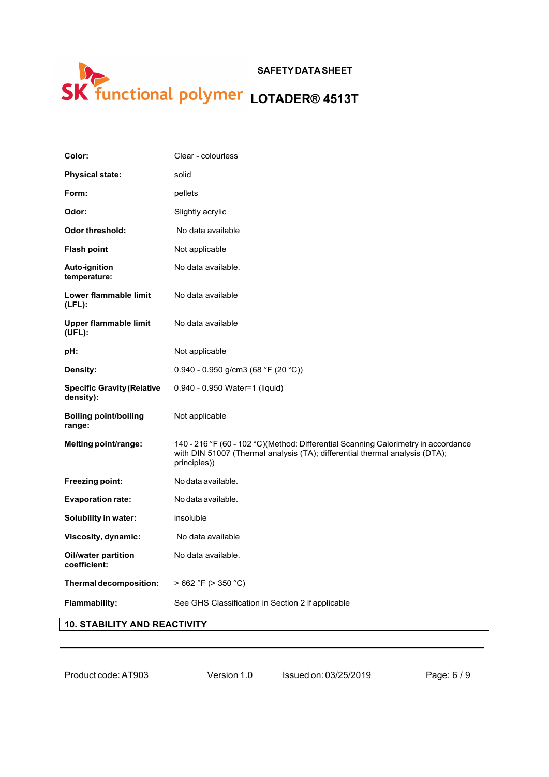## **SAFETY DATA SHEET LOTADER® 4513T**

| Color:                                         | Clear - colourless                                                                                                                                                                |
|------------------------------------------------|-----------------------------------------------------------------------------------------------------------------------------------------------------------------------------------|
| <b>Physical state:</b>                         | solid                                                                                                                                                                             |
| Form:                                          | pellets                                                                                                                                                                           |
| Odor:                                          | Slightly acrylic                                                                                                                                                                  |
| <b>Odor threshold:</b>                         | No data available                                                                                                                                                                 |
| <b>Flash point</b>                             | Not applicable                                                                                                                                                                    |
| <b>Auto-ignition</b><br>temperature:           | No data available.                                                                                                                                                                |
| Lower flammable limit<br>$(LFL)$ :             | No data available                                                                                                                                                                 |
| Upper flammable limit<br>$(UFL)$ :             | No data available                                                                                                                                                                 |
| pH:                                            | Not applicable                                                                                                                                                                    |
| Density:                                       | $0.940 - 0.950$ g/cm3 (68 °F (20 °C))                                                                                                                                             |
| <b>Specific Gravity (Relative</b><br>density): | 0.940 - 0.950 Water=1 (liquid)                                                                                                                                                    |
| <b>Boiling point/boiling</b><br>range:         | Not applicable                                                                                                                                                                    |
| Melting point/range:                           | 140 - 216 °F (60 - 102 °C)(Method: Differential Scanning Calorimetry in accordance<br>with DIN 51007 (Thermal analysis (TA); differential thermal analysis (DTA);<br>principles)) |
| Freezing point:                                |                                                                                                                                                                                   |
|                                                | No data available.                                                                                                                                                                |
| <b>Evaporation rate:</b>                       | No data available.                                                                                                                                                                |
| Solubility in water:                           | insoluble                                                                                                                                                                         |
| Viscosity, dynamic:                            | No data available                                                                                                                                                                 |
| <b>Oil/water partition</b><br>coefficient:     | No data available.                                                                                                                                                                |
| Thermal decomposition:                         | $>662$ °F ( $>350$ °C)                                                                                                                                                            |

## **10. STABILITY AND REACTIVITY**

| Product code: AT903 |  |
|---------------------|--|
|---------------------|--|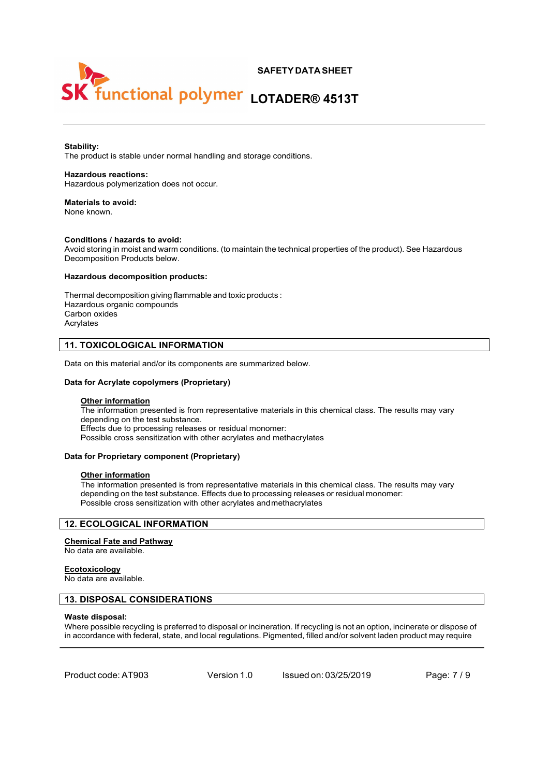# **SAFETY DATA SHEET** functional polymer LOTADER® 4513T

### **Stability:**

The product is stable under normal handling and storage conditions.

### **Hazardous reactions:**

Hazardous polymerization does not occur.

## **Materials to avoid:**

None known.

### **Conditions / hazards to avoid:**

Avoid storing in moist and warm conditions. (to maintain the technical properties of the product). See Hazardous Decomposition Products below.

### **Hazardous decomposition products:**

Thermal decomposition giving flammable and toxic products : Hazardous organic compounds Carbon oxides Acrylates

### **11. TOXICOLOGICAL INFORMATION**

Data on this material and/or its components are summarized below.

### **Data for Acrylate copolymers (Proprietary)**

### **Other information**

The information presented is from representative materials in this chemical class. The results may vary depending on the test substance. Effects due to processing releases or residual monomer: Possible cross sensitization with other acrylates and methacrylates

### **Data for Proprietary component (Proprietary)**

#### **Other information**

The information presented is from representative materials in this chemical class. The results may vary depending on the test substance. Effects due to processing releases or residual monomer: Possible cross sensitization with other acrylates andmethacrylates

## **12. ECOLOGICAL INFORMATION**

### **Chemical Fate and Pathway**

No data are available.

### **Ecotoxicology**

No data are available.

### **13. DISPOSAL CONSIDERATIONS**

#### **Waste disposal:**

Where possible recycling is preferred to disposal or incineration. If recycling is not an option, incinerate or dispose of in accordance with federal, state, and local regulations. Pigmented, filled and/or solvent laden product may require

Product code:AT903 Version 1.0 Issued on: 03/25/2019 Page: 7 / 9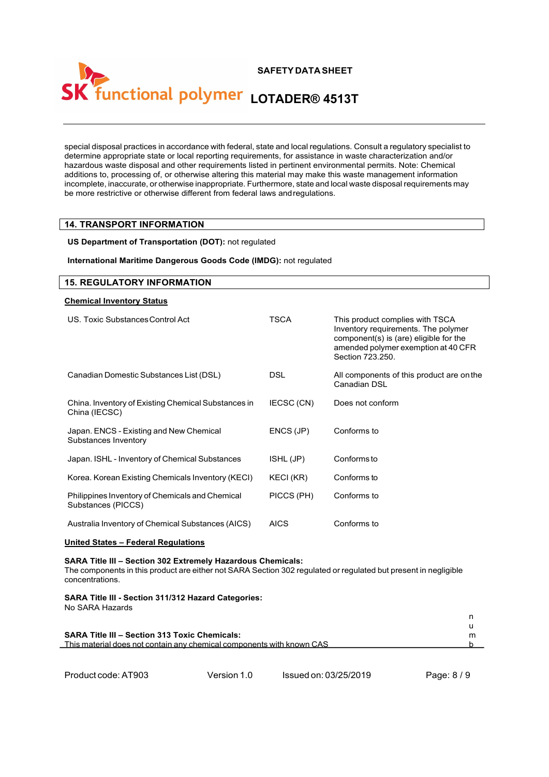# **SAFETY DATA SHEET** functional polymer LOTADER® 4513T

special disposal practices in accordance with federal, state and local regulations. Consult a regulatory specialist to determine appropriate state or local reporting requirements, for assistance in waste characterization and/or hazardous waste disposal and other requirements listed in pertinent environmental permits. Note: Chemical additions to, processing of, or otherwise altering this material may make this waste management information incomplete, inaccurate, or otherwise inappropriate. Furthermore, state and local waste disposal requirements may be more restrictive or otherwise different from federal laws andregulations.

## **14. TRANSPORT INFORMATION**

### **US Department of Transportation (DOT):** not regulated

### **International Maritime Dangerous Goods Code (IMDG):** not regulated

## **15. REGULATORY INFORMATION**

### **Chemical Inventory Status**

| US. Toxic Substances Control Act                                      | TSCA        | This product complies with TSCA<br>Inventory requirements. The polymer<br>component(s) is (are) eligible for the<br>amended polymer exemption at 40 CFR<br>Section 723.250. |
|-----------------------------------------------------------------------|-------------|-----------------------------------------------------------------------------------------------------------------------------------------------------------------------------|
| Canadian Domestic Substances List (DSL)                               | <b>DSL</b>  | All components of this product are on the<br>Canadian DSL                                                                                                                   |
| China. Inventory of Existing Chemical Substances in<br>China (IECSC)  | IECSC (CN)  | Does not conform                                                                                                                                                            |
| Japan. ENCS - Existing and New Chemical<br>Substances Inventory       | ENCS (JP)   | Conforms to                                                                                                                                                                 |
| Japan. ISHL - Inventory of Chemical Substances                        | ISHL (JP)   | Conforms to                                                                                                                                                                 |
| Korea. Korean Existing Chemicals Inventory (KECI)                     | KECI (KR)   | Conforms to                                                                                                                                                                 |
| Philippines Inventory of Chemicals and Chemical<br>Substances (PICCS) | PICCS (PH)  | Conforms to                                                                                                                                                                 |
| Australia Inventory of Chemical Substances (AICS)                     | <b>AICS</b> | Conforms to                                                                                                                                                                 |

### **United States – Federal Regulations**

### **SARA Title III – Section 302 Extremely Hazardous Chemicals:**

The components in this product are either not SARA Section 302 regulated or regulated but present in negligible concentrations.

### **SARA Title III - Section 311/312 Hazard Categories:** No SARA Hazards

| <b>SARA Title III - Section 313 Toxic Chemicals:</b>                  |  |
|-----------------------------------------------------------------------|--|
| This material does not contain any chemical components with known CAS |  |
|                                                                       |  |

```
Product code:AT903 Version 1.0 Issued on: 03/25/2019 Page: 8 / 9
```